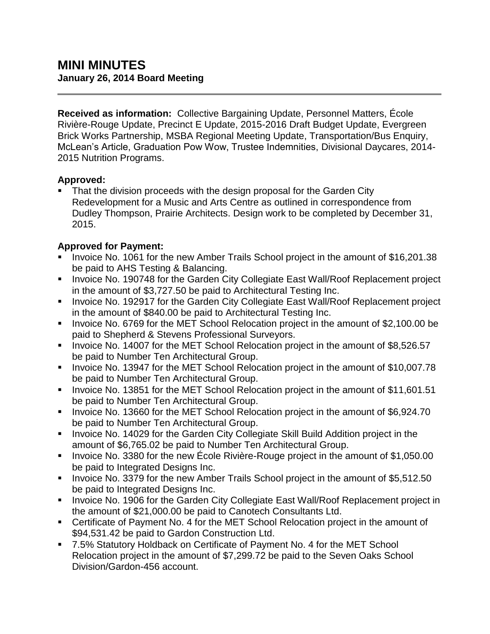**Received as information:** Collective Bargaining Update, Personnel Matters, École Rivière-Rouge Update, Precinct E Update, 2015-2016 Draft Budget Update, Evergreen Brick Works Partnership, MSBA Regional Meeting Update, Transportation/Bus Enquiry, McLean's Article, Graduation Pow Wow, Trustee Indemnities, Divisional Daycares, 2014- 2015 Nutrition Programs.

### **Approved:**

 That the division proceeds with the design proposal for the Garden City Redevelopment for a Music and Arts Centre as outlined in correspondence from Dudley Thompson, Prairie Architects. Design work to be completed by December 31, 2015.

# **Approved for Payment:**

- Invoice No. 1061 for the new Amber Trails School project in the amount of \$16,201.38 be paid to AHS Testing & Balancing.
- **Invoice No. 190748 for the Garden City Collegiate East Wall/Roof Replacement project** in the amount of \$3,727.50 be paid to Architectural Testing Inc.
- **Invoice No. 192917 for the Garden City Collegiate East Wall/Roof Replacement project** in the amount of \$840.00 be paid to Architectural Testing Inc.
- Invoice No. 6769 for the MET School Relocation project in the amount of \$2,100.00 be paid to Shepherd & Stevens Professional Surveyors.
- Invoice No. 14007 for the MET School Relocation project in the amount of \$8,526.57 be paid to Number Ten Architectural Group.
- Invoice No. 13947 for the MET School Relocation project in the amount of \$10,007.78 be paid to Number Ten Architectural Group.
- Invoice No. 13851 for the MET School Relocation project in the amount of \$11,601.51 be paid to Number Ten Architectural Group.
- Invoice No. 13660 for the MET School Relocation project in the amount of \$6,924.70 be paid to Number Ten Architectural Group.
- **Invoice No. 14029 for the Garden City Collegiate Skill Build Addition project in the** amount of \$6,765.02 be paid to Number Ten Architectural Group.
- I Invoice No. 3380 for the new Ecole Rivière-Rouge project in the amount of \$1,050.00 be paid to Integrated Designs Inc.
- Invoice No. 3379 for the new Amber Trails School project in the amount of \$5,512.50 be paid to Integrated Designs Inc.
- **Invoice No. 1906 for the Garden City Collegiate East Wall/Roof Replacement project in** the amount of \$21,000.00 be paid to Canotech Consultants Ltd.
- Certificate of Payment No. 4 for the MET School Relocation project in the amount of \$94,531.42 be paid to Gardon Construction Ltd.
- 7.5% Statutory Holdback on Certificate of Payment No. 4 for the MET School Relocation project in the amount of \$7,299.72 be paid to the Seven Oaks School Division/Gardon-456 account.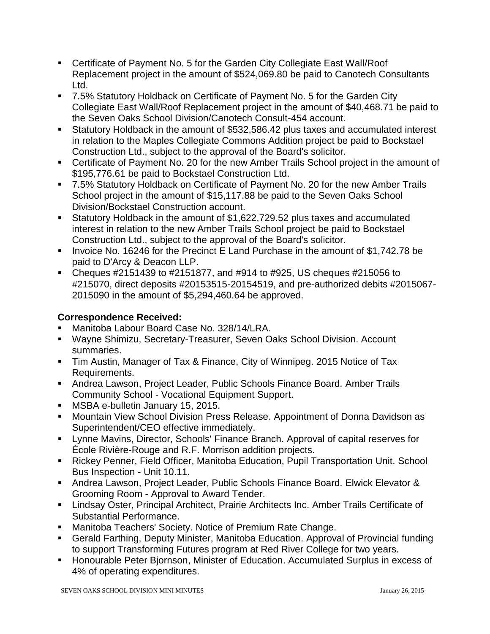- Certificate of Payment No. 5 for the Garden City Collegiate East Wall/Roof Replacement project in the amount of \$524,069.80 be paid to Canotech Consultants Ltd.
- 7.5% Statutory Holdback on Certificate of Payment No. 5 for the Garden City Collegiate East Wall/Roof Replacement project in the amount of \$40,468.71 be paid to the Seven Oaks School Division/Canotech Consult-454 account.
- Statutory Holdback in the amount of \$532,586.42 plus taxes and accumulated interest in relation to the Maples Collegiate Commons Addition project be paid to Bockstael Construction Ltd., subject to the approval of the Board's solicitor.
- Certificate of Payment No. 20 for the new Amber Trails School project in the amount of \$195,776.61 be paid to Bockstael Construction Ltd.
- 7.5% Statutory Holdback on Certificate of Payment No. 20 for the new Amber Trails School project in the amount of \$15,117.88 be paid to the Seven Oaks School Division/Bockstael Construction account.
- Statutory Holdback in the amount of \$1,622,729.52 plus taxes and accumulated interest in relation to the new Amber Trails School project be paid to Bockstael Construction Ltd., subject to the approval of the Board's solicitor.
- Invoice No. 16246 for the Precinct E Land Purchase in the amount of \$1,742.78 be paid to D'Arcy & Deacon LLP.
- Cheques  $\#2151439$  to  $\#2151877$ , and  $\#914$  to  $\#925$ , US cheques  $\#215056$  to #215070, direct deposits #20153515-20154519, and pre-authorized debits #2015067- 2015090 in the amount of \$5,294,460.64 be approved.

## **Correspondence Received:**

- **Manitoba Labour Board Case No. 328/14/LRA.**
- Wayne Shimizu, Secretary-Treasurer, Seven Oaks School Division. Account summaries.
- Tim Austin, Manager of Tax & Finance, City of Winnipeg. 2015 Notice of Tax Requirements.
- Andrea Lawson, Project Leader, Public Schools Finance Board. Amber Trails Community School - Vocational Equipment Support.
- **MSBA e-bulletin January 15, 2015.**
- **Mountain View School Division Press Release. Appointment of Donna Davidson as** Superintendent/CEO effective immediately.
- Lynne Mavins, Director, Schools' Finance Branch. Approval of capital reserves for École Rivière-Rouge and R.F. Morrison addition projects.
- Rickey Penner, Field Officer, Manitoba Education, Pupil Transportation Unit. School Bus Inspection - Unit 10.11.
- Andrea Lawson, Project Leader, Public Schools Finance Board. Elwick Elevator & Grooming Room - Approval to Award Tender.
- Lindsay Oster, Principal Architect, Prairie Architects Inc. Amber Trails Certificate of Substantial Performance.
- **Manitoba Teachers' Society. Notice of Premium Rate Change.**
- Gerald Farthing, Deputy Minister, Manitoba Education. Approval of Provincial funding to support Transforming Futures program at Red River College for two years.
- **Honourable Peter Biornson, Minister of Education. Accumulated Surplus in excess of** 4% of operating expenditures.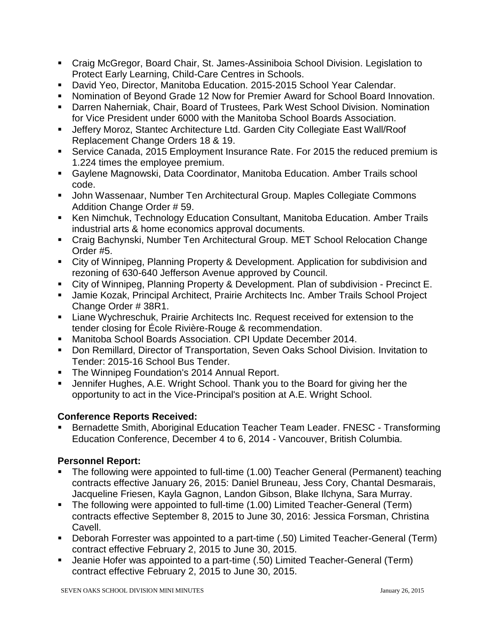- Craig McGregor, Board Chair, St. James-Assiniboia School Division. Legislation to Protect Early Learning, Child-Care Centres in Schools.
- David Yeo, Director, Manitoba Education. 2015-2015 School Year Calendar.
- Nomination of Beyond Grade 12 Now for Premier Award for School Board Innovation.
- Darren Naherniak, Chair, Board of Trustees, Park West School Division. Nomination for Vice President under 6000 with the Manitoba School Boards Association.
- Jeffery Moroz, Stantec Architecture Ltd. Garden City Collegiate East Wall/Roof Replacement Change Orders 18 & 19.
- Service Canada, 2015 Employment Insurance Rate. For 2015 the reduced premium is 1.224 times the employee premium.
- Gaylene Magnowski, Data Coordinator, Manitoba Education. Amber Trails school code.
- John Wassenaar, Number Ten Architectural Group. Maples Collegiate Commons Addition Change Order # 59.
- Ken Nimchuk, Technology Education Consultant, Manitoba Education. Amber Trails industrial arts & home economics approval documents.
- Craig Bachynski, Number Ten Architectural Group. MET School Relocation Change Order #5.
- City of Winnipeg, Planning Property & Development. Application for subdivision and rezoning of 630-640 Jefferson Avenue approved by Council.
- City of Winnipeg, Planning Property & Development. Plan of subdivision Precinct E.
- Jamie Kozak, Principal Architect, Prairie Architects Inc. Amber Trails School Project Change Order # 38R1.
- Liane Wychreschuk, Prairie Architects Inc. Request received for extension to the tender closing for École Rivière-Rouge & recommendation.
- Manitoba School Boards Association. CPI Update December 2014.
- Don Remillard, Director of Transportation, Seven Oaks School Division. Invitation to Tender: 2015-16 School Bus Tender.
- **The Winnipeg Foundation's 2014 Annual Report.**
- Jennifer Hughes, A.E. Wright School. Thank you to the Board for giving her the opportunity to act in the Vice-Principal's position at A.E. Wright School.

### **Conference Reports Received:**

 Bernadette Smith, Aboriginal Education Teacher Team Leader. FNESC - Transforming Education Conference, December 4 to 6, 2014 - Vancouver, British Columbia.

### **Personnel Report:**

- The following were appointed to full-time (1.00) Teacher General (Permanent) teaching contracts effective January 26, 2015: Daniel Bruneau, Jess Cory, Chantal Desmarais, Jacqueline Friesen, Kayla Gagnon, Landon Gibson, Blake Ilchyna, Sara Murray.
- The following were appointed to full-time (1.00) Limited Teacher-General (Term) contracts effective September 8, 2015 to June 30, 2016: Jessica Forsman, Christina Cavell.
- Deborah Forrester was appointed to a part-time (.50) Limited Teacher-General (Term) contract effective February 2, 2015 to June 30, 2015.
- Jeanie Hofer was appointed to a part-time (.50) Limited Teacher-General (Term) contract effective February 2, 2015 to June 30, 2015.